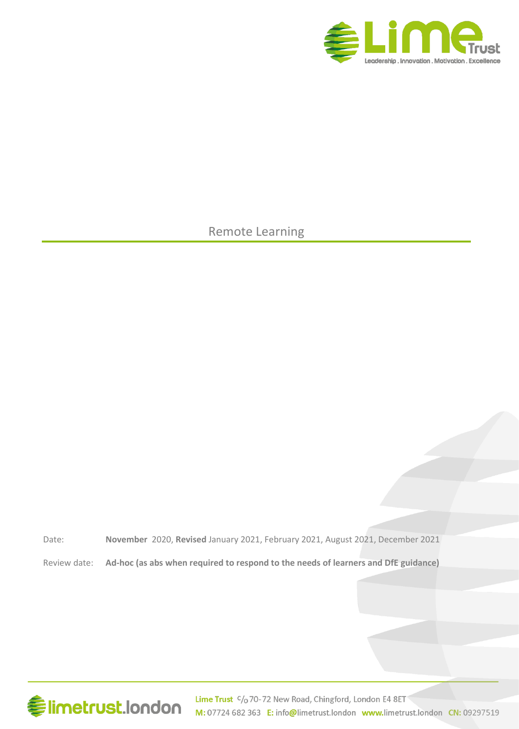

Remote Learning

Date: **November** 2020, **Revised** January 2021, February 2021, August 2021, December 2021

Review date: **Ad-hoc (as abs when required to respond to the needs of learners and DfE guidance)** 



Lime Trust C/o 70-72 New Road, Chingford, London E4 8ET M: 07724 682 363 E: info@limetrust.london www.limetrust.london CN: 09297519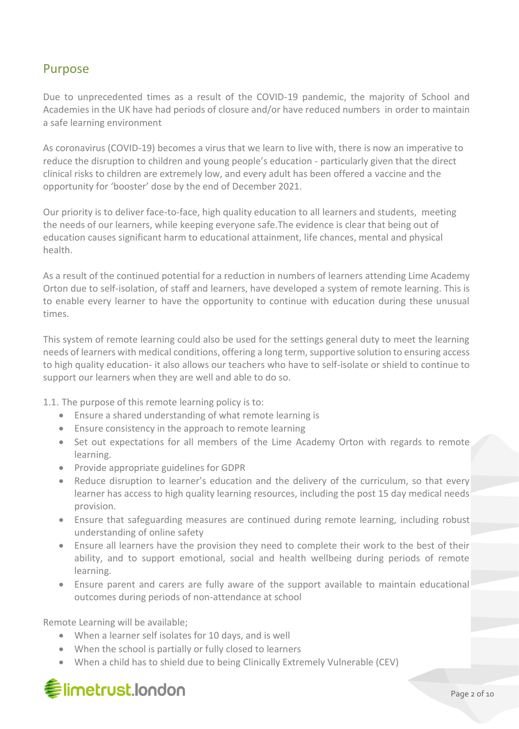### Purpose

Due to unprecedented times as a result of the COVID-19 pandemic, the majority of School and Academies in the UK have had periods of closure and/or have reduced numbers in order to maintain a safe learning environment

As coronavirus (COVID-19) becomes a virus that we learn to live with, there is now an imperative to reduce the disruption to children and young people's education - particularly given that the direct clinical risks to children are extremely low, and every adult has been offered a vaccine and the opportunity for 'booster' dose by the end of December 2021.

Our priority is to deliver face-to-face, high quality education to all learners and students, meeting the needs of our learners, while keeping everyone safe.The evidence is clear that being out of education causes significant harm to educational attainment, life chances, mental and physical health.

As a result of the continued potential for a reduction in numbers of learners attending Lime Academy Orton due to self-isolation, of staff and learners, have developed a system of remote learning. This is to enable every learner to have the opportunity to continue with education during these unusual times.

This system of remote learning could also be used for the settings general duty to meet the learning needs of learners with medical conditions, offering a long term, supportive solution to ensuring access to high quality education- it also allows our teachers who have to self-isolate or shield to continue to support our learners when they are well and able to do so.

1.1. The purpose of this remote learning policy is to:

- Ensure a shared understanding of what remote learning is
- Ensure consistency in the approach to remote learning
- Set out expectations for all members of the Lime Academy Orton with regards to remote learning.
- Provide appropriate guidelines for GDPR
- Reduce disruption to learner's education and the delivery of the curriculum, so that every learner has access to high quality learning resources, including the post 15 day medical needs provision.
- Ensure that safeguarding measures are continued during remote learning, including robust understanding of online safety
- Ensure all learners have the provision they need to complete their work to the best of their ability, and to support emotional, social and health wellbeing during periods of remote learning.
- Ensure parent and carers are fully aware of the support available to maintain educational outcomes during periods of non-attendance at school

Remote Learning will be available;

- When a learner self isolates for 10 days, and is well
- When the school is partially or fully closed to learners
- When a child has to shield due to being Clinically Extremely Vulnerable (CEV)

## **€limetrust.london**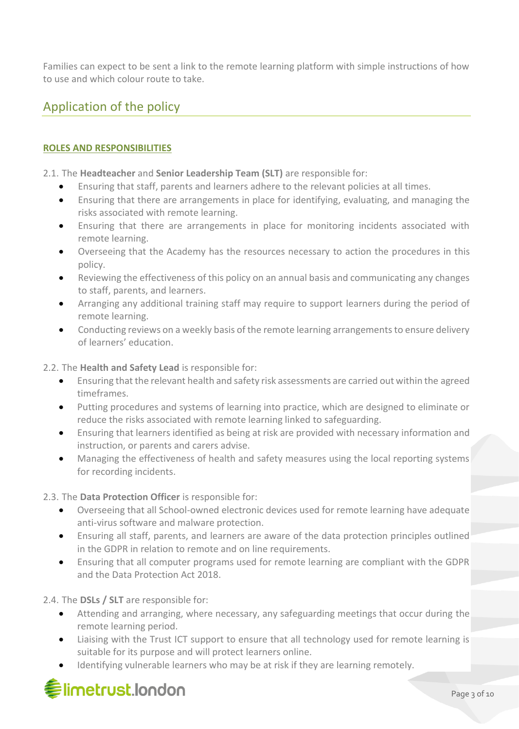Families can expect to be sent a link to the remote learning platform with simple instructions of how to use and which colour route to take.

### Application of the policy

#### **ROLES AND RESPONSIBILITIES**

2.1. The **Headteacher** and **Senior Leadership Team (SLT)** are responsible for:

- Ensuring that staff, parents and learners adhere to the relevant policies at all times.
- Ensuring that there are arrangements in place for identifying, evaluating, and managing the risks associated with remote learning.
- Ensuring that there are arrangements in place for monitoring incidents associated with remote learning.
- Overseeing that the Academy has the resources necessary to action the procedures in this policy.
- Reviewing the effectiveness of this policy on an annual basis and communicating any changes to staff, parents, and learners.
- Arranging any additional training staff may require to support learners during the period of remote learning.
- Conducting reviews on a weekly basis of the remote learning arrangements to ensure delivery of learners' education.

#### 2.2. The **Health and Safety Lead** is responsible for:

- Ensuring that the relevant health and safety risk assessments are carried out within the agreed timeframes.
- Putting procedures and systems of learning into practice, which are designed to eliminate or reduce the risks associated with remote learning linked to safeguarding.
- Ensuring that learners identified as being at risk are provided with necessary information and instruction, or parents and carers advise.
- Managing the effectiveness of health and safety measures using the local reporting systems for recording incidents.

#### 2.3. The **Data Protection Officer** is responsible for:

- Overseeing that all School-owned electronic devices used for remote learning have adequate anti-virus software and malware protection.
- Ensuring all staff, parents, and learners are aware of the data protection principles outlined in the GDPR in relation to remote and on line requirements.
- Ensuring that all computer programs used for remote learning are compliant with the GDPR and the Data Protection Act 2018.

#### 2.4. The **DSLs / SLT** are responsible for:

- Attending and arranging, where necessary, any safeguarding meetings that occur during the remote learning period.
- Liaising with the Trust ICT support to ensure that all technology used for remote learning is suitable for its purpose and will protect learners online.
- Identifying vulnerable learners who may be at risk if they are learning remotely.

# **Elimetrust.london**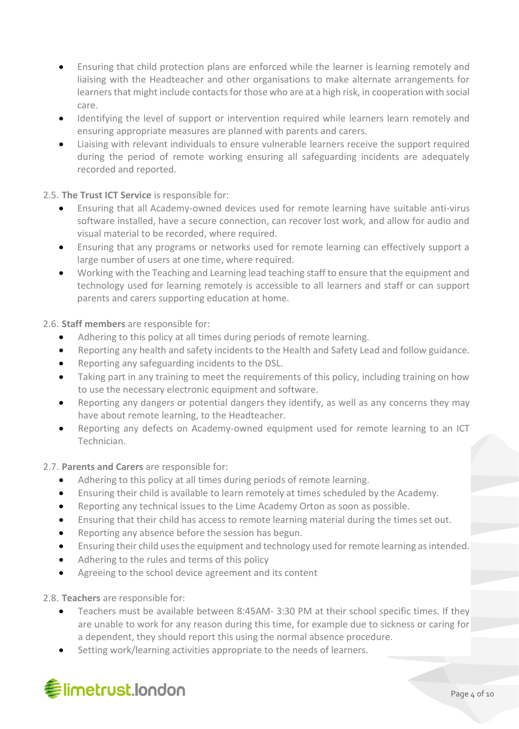- Ensuring that child protection plans are enforced while the learner is learning remotely and liaising with the Headteacher and other organisations to make alternate arrangements for learnersthat might include contacts for those who are at a high risk, in cooperation with social care.
- Identifying the level of support or intervention required while learners learn remotely and ensuring appropriate measures are planned with parents and carers.
- Liaising with relevant individuals to ensure vulnerable learners receive the support required during the period of remote working ensuring all safeguarding incidents are adequately recorded and reported.

#### 2.5. **The Trust ICT Service** is responsible for:

- Ensuring that all Academy-owned devices used for remote learning have suitable anti-virus software installed, have a secure connection, can recover lost work, and allow for audio and visual material to be recorded, where required.
- Ensuring that any programs or networks used for remote learning can effectively support a large number of users at one time, where required.
- Working with the Teaching and Learning lead teaching staff to ensure that the equipment and technology used for learning remotely is accessible to all learners and staff or can support parents and carers supporting education at home.

#### 2.6. **Staff members** are responsible for:

- Adhering to this policy at all times during periods of remote learning.
- Reporting any health and safety incidents to the Health and Safety Lead and follow guidance.
- Reporting any safeguarding incidents to the DSL.
- Taking part in any training to meet the requirements of this policy, including training on how to use the necessary electronic equipment and software.
- Reporting any dangers or potential dangers they identify, as well as any concerns they may have about remote learning, to the Headteacher.
- Reporting any defects on Academy-owned equipment used for remote learning to an ICT Technician.

#### 2.7. **Parents and Carers** are responsible for:

- Adhering to this policy at all times during periods of remote learning.
- Ensuring their child is available to learn remotely at times scheduled by the Academy.
- Reporting any technical issues to the Lime Academy Orton as soon as possible.
- Ensuring that their child has access to remote learning material during the times set out.
- Reporting any absence before the session has begun.
- Ensuring their child uses the equipment and technology used for remote learning as intended.
- Adhering to the rules and terms of this policy
- Agreeing to the school device agreement and its content
- 2.8. **Teachers** are responsible for:
	- Teachers must be available between 8:45AM- 3:30 PM at their school specific times. If they are unable to work for any reason during this time, for example due to sickness or caring for a dependent, they should report this using the normal absence procedure.
	- Setting work/learning activities appropriate to the needs of learners.

# **《imetrust.london**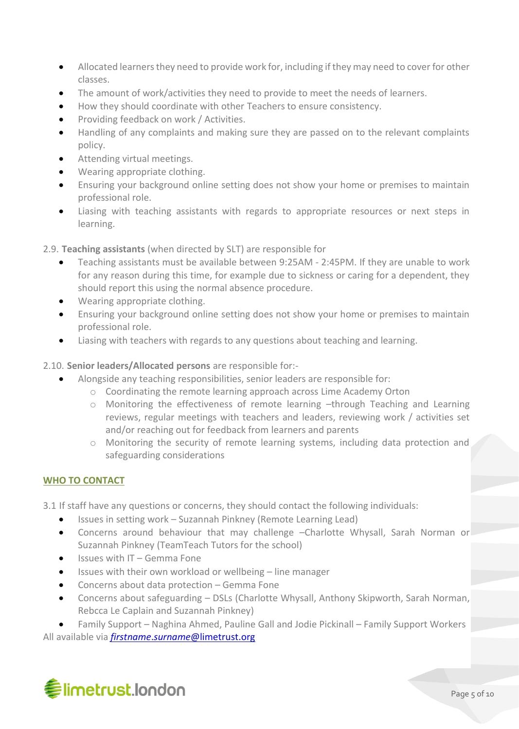- Allocated learners they need to provide work for, including if they may need to cover for other classes.
- The amount of work/activities they need to provide to meet the needs of learners.
- How they should coordinate with other Teachers to ensure consistency.
- Providing feedback on work / Activities.
- Handling of any complaints and making sure they are passed on to the relevant complaints policy.
- Attending virtual meetings.
- Wearing appropriate clothing.
- Ensuring your background online setting does not show your home or premises to maintain professional role.
- Liasing with teaching assistants with regards to appropriate resources or next steps in learning.

2.9. **Teaching assistants** (when directed by SLT) are responsible for

- Teaching assistants must be available between 9:25AM 2:45PM. If they are unable to work for any reason during this time, for example due to sickness or caring for a dependent, they should report this using the normal absence procedure.
- Wearing appropriate clothing.
- Ensuring your background online setting does not show your home or premises to maintain professional role.
- Liasing with teachers with regards to any questions about teaching and learning.
- 2.10. **Senior leaders/Allocated persons** are responsible for:-
	- Alongside any teaching responsibilities, senior leaders are responsible for:
		- o Coordinating the remote learning approach across Lime Academy Orton
		- o Monitoring the effectiveness of remote learning –through Teaching and Learning reviews, regular meetings with teachers and leaders, reviewing work / activities set and/or reaching out for feedback from learners and parents
		- o Monitoring the security of remote learning systems, including data protection and safeguarding considerations

#### **WHO TO CONTACT**

3.1 If staff have any questions or concerns, they should contact the following individuals:

- Issues in setting work Suzannah Pinkney (Remote Learning Lead)
- Concerns around behaviour that may challenge –Charlotte Whysall, Sarah Norman or Suzannah Pinkney (TeamTeach Tutors for the school)
- Issues with IT Gemma Fone
- Issues with their own workload or wellbeing line manager
- Concerns about data protection Gemma Fone
- Concerns about safeguarding DSLs (Charlotte Whysall, Anthony Skipworth, Sarah Norman, Rebcca Le Caplain and Suzannah Pinkney)

• Family Support – Naghina Ahmed, Pauline Gall and Jodie Pickinall – Family Support Workers

All available via *firstname*.*surname*[@limetrust.org](mailto:firstname.surname@limetrust.org)

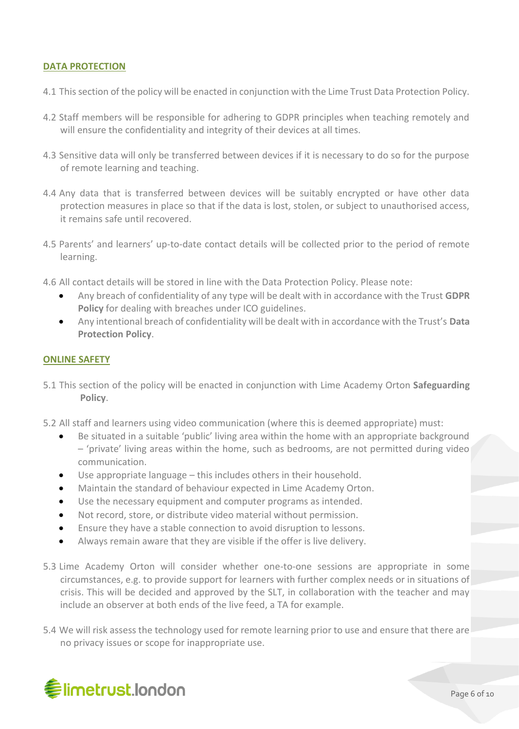#### **DATA PROTECTION**

- 4.1 This section of the policy will be enacted in conjunction with the Lime Trust Data Protection Policy.
- 4.2 Staff members will be responsible for adhering to GDPR principles when teaching remotely and will ensure the confidentiality and integrity of their devices at all times.
- 4.3 Sensitive data will only be transferred between devices if it is necessary to do so for the purpose of remote learning and teaching.
- 4.4 Any data that is transferred between devices will be suitably encrypted or have other data protection measures in place so that if the data is lost, stolen, or subject to unauthorised access, it remains safe until recovered.
- 4.5 Parents' and learners' up-to-date contact details will be collected prior to the period of remote learning.
- 4.6 All contact details will be stored in line with the Data Protection Policy. Please note:
	- Any breach of confidentiality of any type will be dealt with in accordance with the Trust **GDPR Policy** for dealing with breaches under ICO guidelines.
	- Any intentional breach of confidentiality will be dealt with in accordance with the Trust's **Data Protection Policy**.

#### **ONLINE SAFETY**

- 5.1 This section of the policy will be enacted in conjunction with Lime Academy Orton **Safeguarding Policy**.
- 5.2 All staff and learners using video communication (where this is deemed appropriate) must:
	- Be situated in a suitable 'public' living area within the home with an appropriate background – 'private' living areas within the home, such as bedrooms, are not permitted during video communication.
	- Use appropriate language this includes others in their household.
	- Maintain the standard of behaviour expected in Lime Academy Orton.
	- Use the necessary equipment and computer programs as intended.
	- Not record, store, or distribute video material without permission.
	- Ensure they have a stable connection to avoid disruption to lessons.
	- Always remain aware that they are visible if the offer is live delivery.
- 5.3 Lime Academy Orton will consider whether one-to-one sessions are appropriate in some circumstances, e.g. to provide support for learners with further complex needs or in situations of crisis. This will be decided and approved by the SLT, in collaboration with the teacher and may include an observer at both ends of the live feed, a TA for example.
- 5.4 We will risk assess the technology used for remote learning prior to use and ensure that there are no privacy issues or scope for inappropriate use.

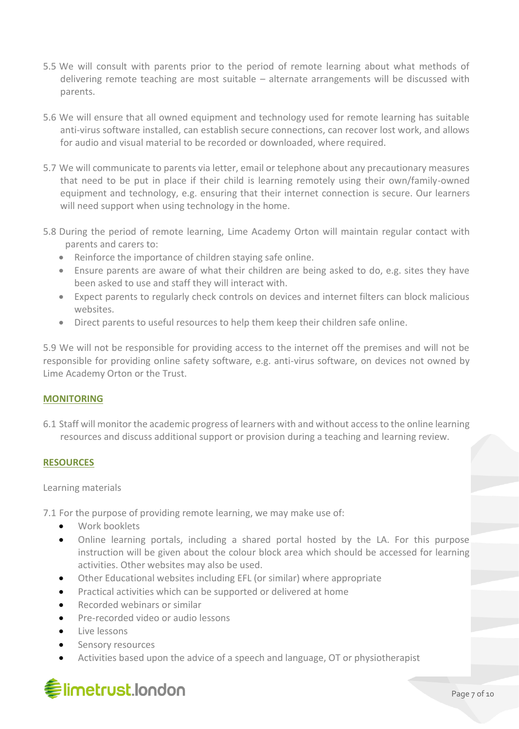- 5.5 We will consult with parents prior to the period of remote learning about what methods of delivering remote teaching are most suitable – alternate arrangements will be discussed with parents.
- 5.6 We will ensure that all owned equipment and technology used for remote learning has suitable anti-virus software installed, can establish secure connections, can recover lost work, and allows for audio and visual material to be recorded or downloaded, where required.
- 5.7 We will communicate to parents via letter, email or telephone about any precautionary measures that need to be put in place if their child is learning remotely using their own/family-owned equipment and technology, e.g. ensuring that their internet connection is secure. Our learners will need support when using technology in the home.
- 5.8 During the period of remote learning, Lime Academy Orton will maintain regular contact with parents and carers to:
	- Reinforce the importance of children staying safe online.
	- Ensure parents are aware of what their children are being asked to do, e.g. sites they have been asked to use and staff they will interact with.
	- Expect parents to regularly check controls on devices and internet filters can block malicious websites.
	- Direct parents to useful resources to help them keep their children safe online.

5.9 We will not be responsible for providing access to the internet off the premises and will not be responsible for providing online safety software, e.g. anti-virus software, on devices not owned by Lime Academy Orton or the Trust.

#### **MONITORING**

6.1 Staff will monitor the academic progress of learners with and without access to the online learning resources and discuss additional support or provision during a teaching and learning review.

#### **RESOURCES**

#### Learning materials

7.1 For the purpose of providing remote learning, we may make use of:

- Work booklets
- Online learning portals, including a shared portal hosted by the LA. For this purpose instruction will be given about the colour block area which should be accessed for learning activities. Other websites may also be used.
- Other Educational websites including EFL (or similar) where appropriate
- Practical activities which can be supported or delivered at home
- Recorded webinars or similar
- Pre-recorded video or audio lessons
- Live lessons
- Sensory resources
- Activities based upon the advice of a speech and language, OT or physiotherapist

## **《imetrust.london**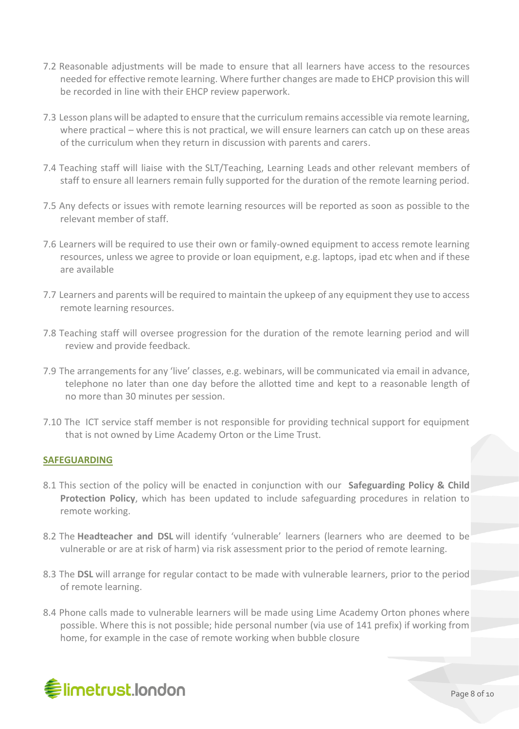- 7.2 Reasonable adjustments will be made to ensure that all learners have access to the resources needed for effective remote learning. Where further changes are made to EHCP provision this will be recorded in line with their EHCP review paperwork.
- 7.3 Lesson plans will be adapted to ensure that the curriculum remains accessible via remote learning, where practical – where this is not practical, we will ensure learners can catch up on these areas of the curriculum when they return in discussion with parents and carers.
- 7.4 Teaching staff will liaise with the SLT/Teaching, Learning Leads and other relevant members of staff to ensure all learners remain fully supported for the duration of the remote learning period.
- 7.5 Any defects or issues with remote learning resources will be reported as soon as possible to the relevant member of staff.
- 7.6 Learners will be required to use their own or family-owned equipment to access remote learning resources, unless we agree to provide or loan equipment, e.g. laptops, ipad etc when and if these are available
- 7.7 Learners and parents will be required to maintain the upkeep of any equipment they use to access remote learning resources.
- 7.8 Teaching staff will oversee progression for the duration of the remote learning period and will review and provide feedback.
- 7.9 The arrangements for any 'live' classes, e.g. webinars, will be communicated via email in advance, telephone no later than one day before the allotted time and kept to a reasonable length of no more than 30 minutes per session.
- 7.10 The ICT service staff member is not responsible for providing technical support for equipment that is not owned by Lime Academy Orton or the Lime Trust.

#### **SAFEGUARDING**

- 8.1 This section of the policy will be enacted in conjunction with our **Safeguarding Policy & Child Protection Policy**, which has been updated to include safeguarding procedures in relation to remote working.
- 8.2 The **Headteacher and DSL** will identify 'vulnerable' learners (learners who are deemed to be vulnerable or are at risk of harm) via risk assessment prior to the period of remote learning.
- 8.3 The **DSL** will arrange for regular contact to be made with vulnerable learners, prior to the period of remote learning.
- 8.4 Phone calls made to vulnerable learners will be made using Lime Academy Orton phones where possible. Where this is not possible; hide personal number (via use of 141 prefix) if working from home, for example in the case of remote working when bubble closure

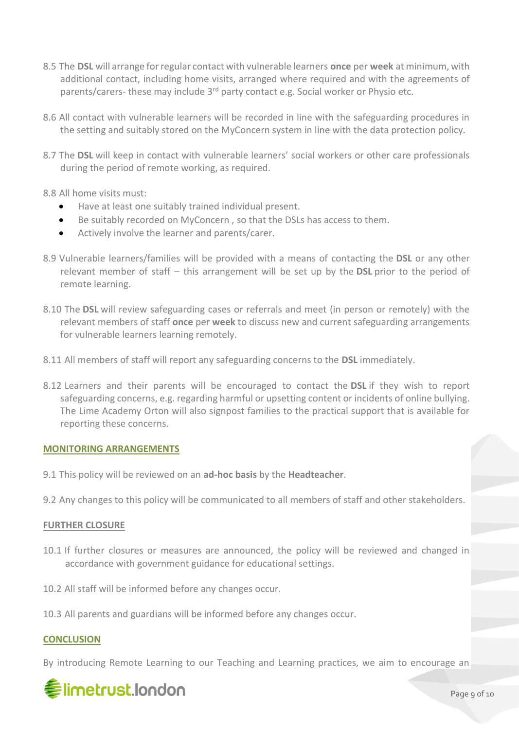- 8.5 The **DSL** will arrange for regular contact with vulnerable learners **once** per **week** at minimum, with additional contact, including home visits, arranged where required and with the agreements of parents/carers- these may include 3<sup>rd</sup> party contact e.g. Social worker or Physio etc.
- 8.6 All contact with vulnerable learners will be recorded in line with the safeguarding procedures in the setting and suitably stored on the MyConcern system in line with the data protection policy.
- 8.7 The **DSL** will keep in contact with vulnerable learners' social workers or other care professionals during the period of remote working, as required.
- 8.8 All home visits must:
	- Have at least one suitably trained individual present.
	- Be suitably recorded on MyConcern , so that the DSLs has access to them.
	- Actively involve the learner and parents/carer.
- 8.9 Vulnerable learners/families will be provided with a means of contacting the **DSL** or any other relevant member of staff – this arrangement will be set up by the **DSL** prior to the period of remote learning.
- 8.10 The **DSL** will review safeguarding cases or referrals and meet (in person or remotely) with the relevant members of staff **once** per **week** to discuss new and current safeguarding arrangements for vulnerable learners learning remotely.
- 8.11 All members of staff will report any safeguarding concerns to the **DSL** immediately.
- 8.12 Learners and their parents will be encouraged to contact the **DSL** if they wish to report safeguarding concerns, e.g. regarding harmful or upsetting content or incidents of online bullying. The Lime Academy Orton will also signpost families to the practical support that is available for reporting these concerns.

#### **MONITORING ARRANGEMENTS**

- 9.1 This policy will be reviewed on an **ad-hoc basis** by the **Headteacher**.
- 9.2 Any changes to this policy will be communicated to all members of staff and other stakeholders.

#### **FURTHER CLOSURE**

- 10.1 If further closures or measures are announced, the policy will be reviewed and changed in accordance with government guidance for educational settings.
- 10.2 All staff will be informed before any changes occur.
- 10.3 All parents and guardians will be informed before any changes occur.

#### **CONCLUSION**

By introducing Remote Learning to our Teaching and Learning practices, we aim to encourage an

## **《imetrust.london**